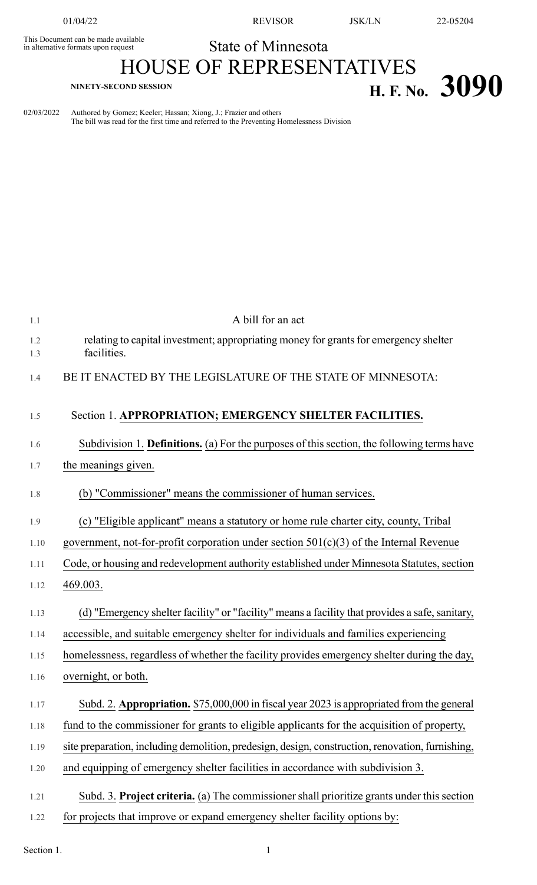This Document can be made available<br>in alternative formats upon request

01/04/22 REVISOR JSK/LN 22-05204

## State of Minnesota

## HOUSE OF REPRESENTATIVES **H. F.** No. **3090 H. F.** No. **3090**

02/03/2022 Authored by Gomez; Keeler; Hassan; Xiong, J.; Frazier and others The bill was read for the first time and referred to the Preventing Homelessness Division

| 1.1        | A bill for an act                                                                                   |
|------------|-----------------------------------------------------------------------------------------------------|
| 1.2<br>1.3 | relating to capital investment; appropriating money for grants for emergency shelter<br>facilities. |
| 1.4        | BE IT ENACTED BY THE LEGISLATURE OF THE STATE OF MINNESOTA:                                         |
| 1.5        | Section 1. APPROPRIATION; EMERGENCY SHELTER FACILITIES.                                             |
| 1.6        | Subdivision 1. Definitions. (a) For the purposes of this section, the following terms have          |
| 1.7        | the meanings given.                                                                                 |
| 1.8        | (b) "Commissioner" means the commissioner of human services.                                        |
| 1.9        | (c) "Eligible applicant" means a statutory or home rule charter city, county, Tribal                |
| 1.10       | government, not-for-profit corporation under section $501(c)(3)$ of the Internal Revenue            |
| 1.11       | Code, or housing and redevelopment authority established under Minnesota Statutes, section          |
| 1.12       | 469.003.                                                                                            |
| 1.13       | (d) "Emergency shelter facility" or "facility" means a facility that provides a safe, sanitary,     |
| 1.14       | accessible, and suitable emergency shelter for individuals and families experiencing                |
| 1.15       | homelessness, regardless of whether the facility provides emergency shelter during the day,         |
| 1.16       | overnight, or both.                                                                                 |
| 1.17       | Subd. 2. Appropriation. \$75,000,000 in fiscal year 2023 is appropriated from the general           |
| 1.18       | fund to the commissioner for grants to eligible applicants for the acquisition of property,         |
| 1.19       | site preparation, including demolition, predesign, design, construction, renovation, furnishing,    |
| 1.20       | and equipping of emergency shelter facilities in accordance with subdivision 3.                     |
| 1.21       | Subd. 3. Project criteria. (a) The commissioner shall prioritize grants under this section          |
| 1.22       | for projects that improve or expand emergency shelter facility options by:                          |